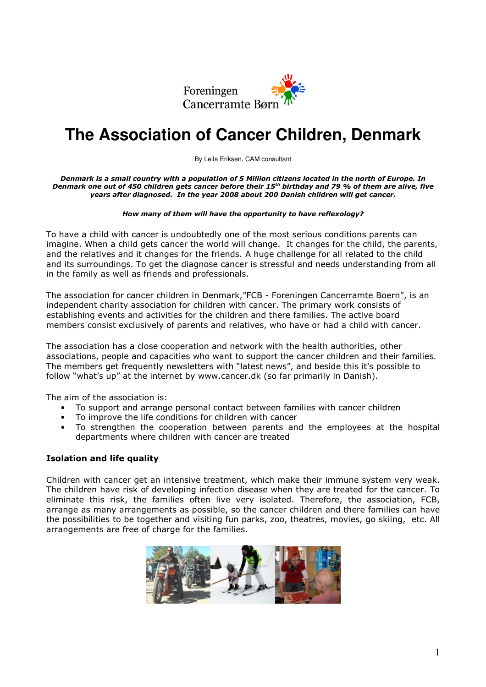

## **The Association of Cancer Children, Denmark**

By Leila Eriksen, CAM consultant

Denmark is a small country with a population of 5 Million citizens located in the north of Europe. In Denmark one out of 450 children gets cancer before their 15<sup>th</sup> birthday and 79 % of them are alive, five years after diagnosed. In the year 2008 about 200 Danish children will get cancer.

## How many of them will have the opportunity to have reflexology?

To have a child with cancer is undoubtedly one of the most serious conditions parents can imagine. When a child gets cancer the world will change. It changes for the child, the parents, and the relatives and it changes for the friends. A huge challenge for all related to the child and its surroundings. To get the diagnose cancer is stressful and needs understanding from all in the family as well as friends and professionals.

The association for cancer children in Denmark,"FCB - Foreningen Cancerramte Boern", is an independent charity association for children with cancer. The primary work consists of establishing events and activities for the children and there families. The active board members consist exclusively of parents and relatives, who have or had a child with cancer.

The association has a close cooperation and network with the health authorities, other associations, people and capacities who want to support the cancer children and their families. The members get frequently newsletters with "latest news", and beside this it's possible to follow "what's up" at the internet by www.cancer.dk (so far primarily in Danish).

The aim of the association is:

- To support and arrange personal contact between families with cancer children
- To improve the life conditions for children with cancer
- To strengthen the cooperation between parents and the employees at the hospital departments where children with cancer are treated

## Isolation and life quality

Children with cancer get an intensive treatment, which make their immune system very weak. The children have risk of developing infection disease when they are treated for the cancer. To eliminate this risk, the families often live very isolated. Therefore, the association, FCB, arrange as many arrangements as possible, so the cancer children and there families can have the possibilities to be together and visiting fun parks, zoo, theatres, movies, go skiing, etc. All arrangements are free of charge for the families.